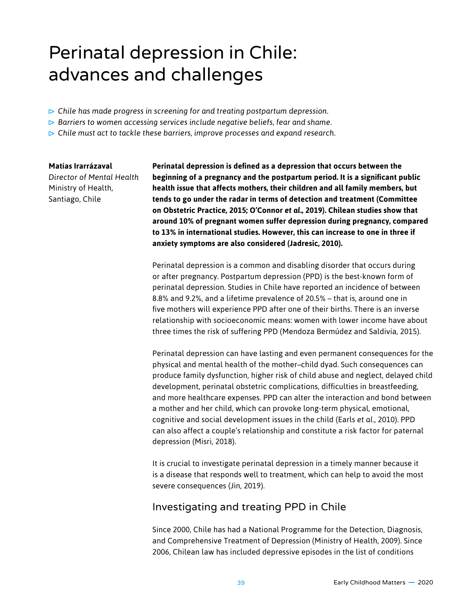# Perinatal depression in Chile: advances and challenges

- *Chile has made progress in screening for and treating postpartum depression.*
- *Barriers to women accessing services include negative beliefs, fear and shame.*
- *Chile must act to tackle these barriers, improve processes and expand research.*

### **Matías Irarrázaval**

*Director of Mental Health* Ministry of Health, Santiago, Chile

**Perinatal depression is defined as a depression that occurs between the beginning of a pregnancy and the postpartum period. It is a significant public health issue that affects mothers, their children and all family members, but tends to go under the radar in terms of detection and treatment (Committee on Obstetric Practice, 2015; O'Connor** *et al***., 2019). Chilean studies show that around 10% of pregnant women suffer depression during pregnancy, compared to 13% in international studies. However, this can increase to one in three if anxiety symptoms are also considered (Jadresic, 2010).** 

Perinatal depression is a common and disabling disorder that occurs during or after pregnancy. Postpartum depression (PPD) is the best-known form of perinatal depression. Studies in Chile have reported an incidence of between 8.8% and 9.2%, and a lifetime prevalence of 20.5% – that is, around one in five mothers will experience PPD after one of their births. There is an inverse relationship with socioeconomic means: women with lower income have about three times the risk of suffering PPD (Mendoza Bermúdez and Saldivia, 2015).

Perinatal depression can have lasting and even permanent consequences for the physical and mental health of the mother–child dyad. Such consequences can produce family dysfunction, higher risk of child abuse and neglect, delayed child development, perinatal obstetric complications, difficulties in breastfeeding, and more healthcare expenses. PPD can alter the interaction and bond between a mother and her child, which can provoke long-term physical, emotional, cognitive and social development issues in the child (Earls *et al*., 2010). PPD can also affect a couple's relationship and constitute a risk factor for paternal depression (Misri, 2018).

It is crucial to investigate perinatal depression in a timely manner because it is a disease that responds well to treatment, which can help to avoid the most severe consequences (Jin, 2019).

### Investigating and treating PPD in Chile

Since 2000, Chile has had a National Programme for the Detection, Diagnosis, and Comprehensive Treatment of Depression (Ministry of Health, 2009). Since 2006, Chilean law has included depressive episodes in the list of conditions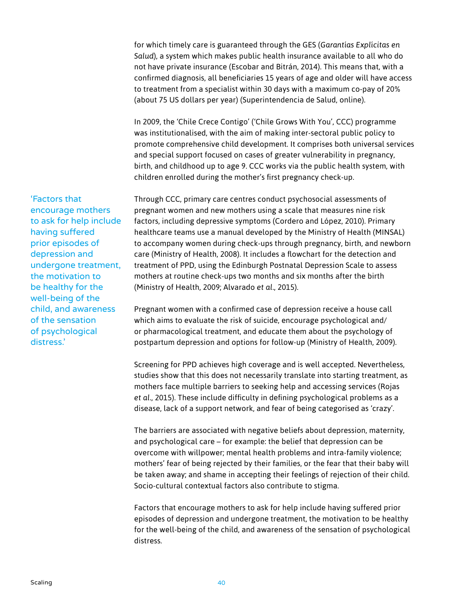for which timely care is guaranteed through the GES (*Garantías Explícitas en Salud*), a system which makes public health insurance available to all who do not have private insurance (Escobar and Bitrán, 2014). This means that, with a confirmed diagnosis, all beneficiaries 15 years of age and older will have access to treatment from a specialist within 30 days with a maximum co-pay of 20% (about 75 US dollars per year) (Superintendencia de Salud, online).

In 2009, the 'Chile Crece Contigo' ('Chile Grows With You', CCC) programme was institutionalised, with the aim of making inter-sectoral public policy to promote comprehensive child development. It comprises both universal services and special support focused on cases of greater vulnerability in pregnancy, birth, and childhood up to age 9. CCC works via the public health system, with children enrolled during the mother's first pregnancy check-up.

Through CCC, primary care centres conduct psychosocial assessments of pregnant women and new mothers using a scale that measures nine risk factors, including depressive symptoms (Cordero and López, 2010). Primary healthcare teams use a manual developed by the Ministry of Health (MINSAL) to accompany women during check-ups through pregnancy, birth, and newborn care (Ministry of Health, 2008). It includes a flowchart for the detection and treatment of PPD, using the Edinburgh Postnatal Depression Scale to assess mothers at routine check-ups two months and six months after the birth (Ministry of Health, 2009; Alvarado *et al*., 2015).

Pregnant women with a confirmed case of depression receive a house call which aims to evaluate the risk of suicide, encourage psychological and/ or pharmacological treatment, and educate them about the psychology of postpartum depression and options for follow-up (Ministry of Health, 2009).

Screening for PPD achieves high coverage and is well accepted. Nevertheless, studies show that this does not necessarily translate into starting treatment, as mothers face multiple barriers to seeking help and accessing services (Rojas *et al*., 2015). These include difficulty in defining psychological problems as a disease, lack of a support network, and fear of being categorised as 'crazy'.

The barriers are associated with negative beliefs about depression, maternity, and psychological care – for example: the belief that depression can be overcome with willpower; mental health problems and intra-family violence; mothers' fear of being rejected by their families, or the fear that their baby will be taken away; and shame in accepting their feelings of rejection of their child. Socio-cultural contextual factors also contribute to stigma.

Factors that encourage mothers to ask for help include having suffered prior episodes of depression and undergone treatment, the motivation to be healthy for the well-being of the child, and awareness of the sensation of psychological distress.

'Factors that encourage mothers to ask for help include having suffered prior episodes of depression and undergone treatment, the motivation to be healthy for the well-being of the child, and awareness of the sensation of psychological distress.'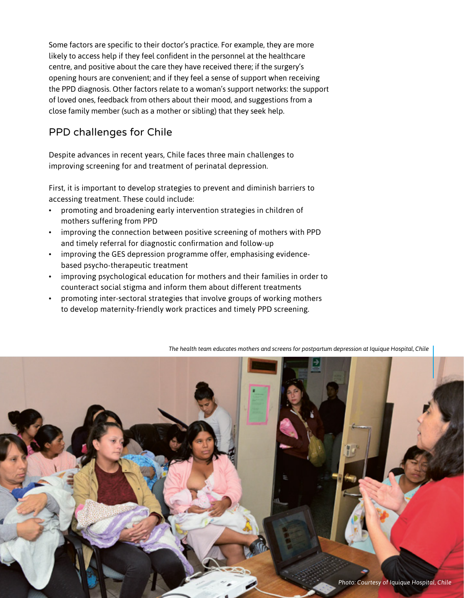Some factors are specific to their doctor's practice. For example, they are more likely to access help if they feel confident in the personnel at the healthcare centre, and positive about the care they have received there; if the surgery's opening hours are convenient; and if they feel a sense of support when receiving the PPD diagnosis. Other factors relate to a woman's support networks: the support of loved ones, feedback from others about their mood, and suggestions from a close family member (such as a mother or sibling) that they seek help.

## PPD challenges for Chile

Despite advances in recent years, Chile faces three main challenges to improving screening for and treatment of perinatal depression.

First, it is important to develop strategies to prevent and diminish barriers to accessing treatment. These could include:

- promoting and broadening early intervention strategies in children of mothers suffering from PPD
- improving the connection between positive screening of mothers with PPD and timely referral for diagnostic confirmation and follow-up
- improving the GES depression programme offer, emphasising evidencebased psycho-therapeutic treatment
- improving psychological education for mothers and their families in order to counteract social stigma and inform them about different treatments
- promoting inter-sectoral strategies that involve groups of working mothers to develop maternity-friendly work practices and timely PPD screening.

*The health team educates mothers and screens for postpartum depression at Iquique Hospital, Chile*